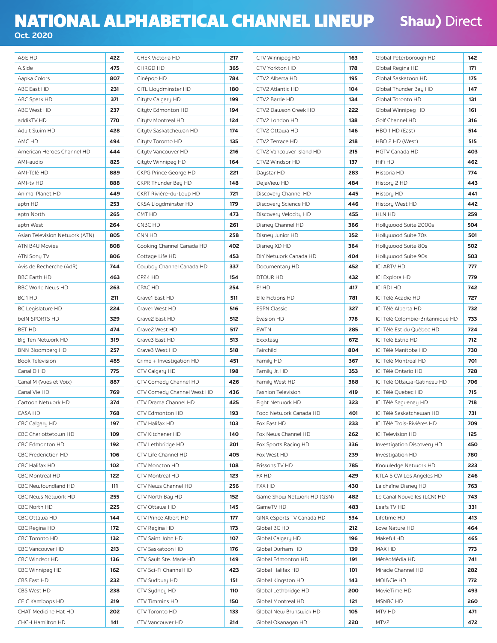## NATIONAL ALPHABETICAL CHANNEL LINEUP **Oct. 2020**

**Shaw) Direct** 

| A&E HD                                   | 422        |
|------------------------------------------|------------|
| A.Side                                   | 475        |
| Aapka Colors                             | 807        |
| ABC East HD                              | 231        |
| ABC Spark HD                             | 371        |
| ABC West HD                              | 237        |
| addikTV HD                               | 770        |
| Adult Swim HD                            | 428        |
| AMC HD                                   | 494        |
| American Heroes Channel HD               | 444        |
| AMI-audio                                | 825        |
| AMI-Télé HD                              | 889        |
| <b>AMI-tv HD</b>                         | 888        |
| Animal Planet HD                         | 449        |
| aptn HD                                  | 253        |
| aptn North                               | 265        |
| aptn West                                | 264        |
| Asian Television Network (ATN)           | 805        |
| ATN B4U Movies                           | 808        |
| ATN Sony TV                              | 806        |
| Avis de Recherche (AdR)                  | 744        |
| <b>BBC Earth HD</b>                      | 463        |
| <b>BBC World News HD</b>                 | 263        |
| BC <sub>1</sub> HD                       | 211        |
| <b>BC Legislature HD</b>                 | 224        |
| beIN SPORTS HD                           | 329        |
| <b>BET HD</b>                            | 474        |
| Big Ten Network HD                       | 319        |
| <b>BNN Bloomberg HD</b>                  | 257        |
| <b>Book Television</b>                   | 485        |
| Canal D HD                               | 775        |
| Canal M (Vues et Voix)                   | 887        |
| Canal Vie HD                             | 769        |
| Cartoon Network HD                       | 374        |
| CASA HD                                  | 768        |
| CBC Calgary HD                           | 197        |
| CBC Charlottetown HD                     | 109        |
| CBC Edmonton HD                          | 192        |
| <b>CBC Frederiction HD</b>               | 106        |
| CBC Halifax HD                           | 102        |
| CBC Montreal HD                          | 122        |
| CBC Newfoundland HD                      | 111        |
| CBC News Network HD                      | 255        |
| CBC North HD                             | 225        |
| CBC Ottawa HD                            | 144        |
| CBC Regina HD                            | 172        |
| <b>CBC Toronto HD</b>                    | 132        |
| CBC Vancouver HD                         | 213        |
| <b>CBC Windsor HD</b>                    | 136        |
| CBC Winnipeg HD                          | 162        |
| <b>CBS East HD</b><br>CBS West HD        | 232        |
|                                          | 238<br>219 |
| CFJC Kamloops HD<br>CHAT Medicine Hat HD | 202        |
| CHCH Hamilton HD                         | 141        |
|                                          |            |

| CHEK Victoria HD            | 217 |
|-----------------------------|-----|
| CHRGD HD                    | 365 |
| Cinépop HD                  | 784 |
| CITL Lloydminster HD        | 180 |
| Citytv Calgary HD           | 199 |
| Citytv Edmonton HD          | 194 |
| Citytv Montreal HD          | 124 |
| Citytv Saskatchewan HD      | 174 |
| Citytv Toronto HD           | 135 |
| Citytv Vancouver HD         | 216 |
| Citytv Winnipeg HD          | 164 |
| CKPG Prince George HD       | 221 |
| CKPR Thunder Bay HD         | 148 |
| CKRT Rivière-du-Loup HD     | 721 |
| CKSA Lloydminster HD        | 179 |
| CMT HD                      | 473 |
| CNBC HD                     | 261 |
| CNN HD                      | 258 |
| Cooking Channel Canada HD   | 402 |
| Cottage Life HD             | 453 |
| Cowboy Channel Canada HD    | 337 |
| CP24 HD                     | 154 |
| CPAC HD                     | 254 |
| Crave1 East HD              | 511 |
| Crave1 West HD              | 516 |
| Crave2 East HD              | 512 |
| Crave2 West HD              | 517 |
| Crave3 East HD              | 513 |
| Crave3 West HD              | 518 |
| Crime + Investigation HD    | 451 |
| CTV Calgary HD              | 198 |
| CTV Comedy Channel HD       | 426 |
| CTV Comedy Channel West HD  | 436 |
| CTV Drama Channel HD        | 425 |
| CTV Edmonton HD             | 193 |
| CTV Halifax HD              | 103 |
| CTV Kitchener HD            | 140 |
| CTV Lethbridge HD           | 201 |
| CTV Life Channel HD         | 405 |
| <b>CTV Moncton HD</b>       | 108 |
| <b>CTV Montreal HD</b>      | 123 |
| CTV News Channel HD         | 256 |
| CTV North Bay HD            | 152 |
| CTV Ottawa HD               | 145 |
| <b>CTV Prince Albert HD</b> | 177 |
| CTV Regina HD               | 173 |
| CTV Saint John HD           | 107 |
| CTV Saskatoon HD            | 176 |
| CTV Sault Ste. Marie HD     | 149 |
| CTV Sci-Fi Channel HD       | 423 |
| CTV Sudbury HD              | 151 |
| CTV Sydney HD               | 110 |
| CTV Timmins HD              | 150 |
| CTV Toronto HD              | 133 |
| CTV Vancouver HD            | 214 |

| CTV Winnipeg HD            | 163 |
|----------------------------|-----|
| CTV Yorkton HD             | 178 |
| CTV2 Alberta HD            | 195 |
| CTV2 Atlantic HD           | 104 |
| CTV2 Barrie HD             | 134 |
| CTV2 Dawson Creek HD       | 222 |
| CTV2 London HD             | 138 |
| CTV2 Ottawa HD             | 146 |
| CTV2 Terrace HD            | 218 |
| CTV2 Vancouver Island HD   | 215 |
| CTV2 Windsor HD            | 137 |
| Daystar HD                 | 283 |
| DejaView HD                | 484 |
| Discovery Channel HD       | 445 |
| Discovery Science HD       | 446 |
| Discovery Velocity HD      | 455 |
| Disney Channel HD          | 366 |
| Disney Junior HD           | 352 |
| Disney XD HD               | 364 |
| DIY Network Canada HD      | 404 |
| Documentary HD             | 452 |
| DTOUR HD                   | 432 |
| E! HD                      | 417 |
| Elle Fictions HD           | 781 |
| <b>ESPN Classic</b>        | 327 |
| Évasion HD                 | 778 |
| <b>EWTN</b>                | 285 |
| Exxxtasy                   | 672 |
| Fairchild                  | 804 |
| Family HD                  | 367 |
| Family Jr. HD              | 353 |
| Family West HD             | 368 |
| Fashion Television         | 419 |
| Fight Network HD           | 323 |
| Food Network Canada HD     | 401 |
| Fox East HD                | 233 |
| Fox News Channel HD        | 262 |
| Fox Sports Racing HD       | 336 |
| Fox West HD                | 239 |
| Frissons TV HD             | 785 |
| FX HD                      | 429 |
| <b>FXX HD</b>              | 430 |
| Game Show Network HD (GSN) | 482 |
| GameTV HD                  | 483 |
| GINX eSports TV Canada HD  | 534 |
| Global BC HD               | 212 |
| Global Calgary HD          | 196 |
| Global Durham HD           | 139 |
| Global Edmonton HD         | 191 |
| Global Halifax HD          | 101 |
| Global Kingston HD         | 143 |
| Global Lethbridge HD       | 200 |
| Global Montreal HD         | 121 |
| Global New Brunswick HD    | 105 |
| Global Okanagan HD         | 220 |
|                            |     |

| Global Peterborough HD           | 142 |
|----------------------------------|-----|
| Global Regina HD                 | 171 |
| Global Saskatoon HD              | 175 |
| Global Thunder Bay HD            | 147 |
| Global Toronto HD                | 131 |
| Global Winnipeg HD               | 161 |
| Golf Channel HD                  | 316 |
| HBO 1 HD (East)                  | 514 |
| HBO 2 HD (West)                  | 515 |
| <b>HGTV Canada HD</b>            | 403 |
| HiFi HD                          | 462 |
| Historia HD                      | 774 |
| History 2 HD                     | 443 |
| History HD                       | 441 |
| History West HD                  | 442 |
| HLN HD                           | 259 |
| Hollywood Suite 2000s            | 504 |
| Hollywood Suite 70s              | 501 |
| Hollywood Suite 80s              | 502 |
| Hollywood Suite 90s              | 503 |
| <b>ICI ARTV HD</b>               | 777 |
| ICI Explora HD                   | 779 |
| <b>ICI RDI HD</b>                | 742 |
| ICI Télé Acadie HD               | 727 |
| ICI Télé Alberta HD              | 732 |
| ICI Télé Colombie-Britannique HD | 733 |
| ICI Télé Est du Québec HD        | 724 |
| ICI Télé Estrie HD               | 712 |
| ICI Télé Manitoba HD             | 730 |
| ICI Télé Montreal HD             | 701 |
| ICI Télé Ontario HD              | 728 |
| ICI Télé Ottawa-Gatineau HD      | 706 |
| ICI Télé Quebec HD               | 715 |
| ICI Télé Saguenay HD             | 718 |
| ICI Télé Saskatchewan HD         | 731 |
| ICI Télé Trois-Rivières HD       | 709 |
| ICI Television HD                | 125 |
| Investigation Discovery HD       | 450 |
| Investigation HD                 | 780 |
| Knowledge Network HD             | 223 |
| KTLA 5 CW Los Angeles HD         | 246 |
| La chaîne Disney HD              | 763 |
| Le Canal Nouvelles (LCN) HD      | 743 |
| Leafs TV HD                      | 331 |
| Lifetime HD                      | 413 |
| Love Nature HD                   | 464 |
| Makeful HD                       | 465 |
| MAX HD                           | 773 |
| MétéoMédia HD                    | 741 |
| Miracle Channel HD               | 282 |
| MOI&Cie HD                       | 772 |
| MovieTime HD                     | 493 |
| MSNBC HD                         | 260 |
| MTV HD                           | 471 |
| MTV2                             | 472 |